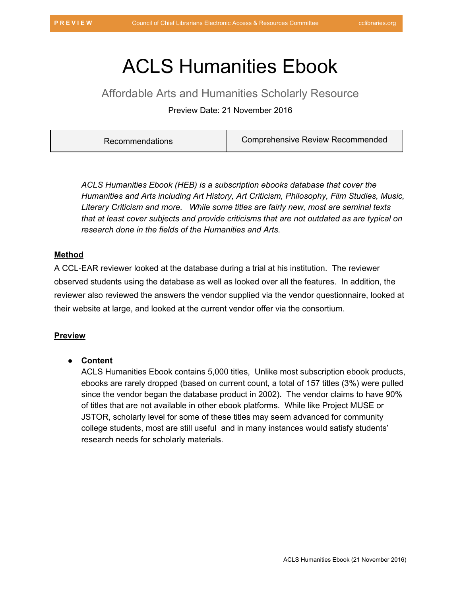# ACLS Humanities Ebook

Affordable Arts and Humanities Scholarly Resource

Preview Date: 21 November 2016

| Comprehensive Review Recommended<br><b>Recommendations</b> |  |
|------------------------------------------------------------|--|
|------------------------------------------------------------|--|

*ACLS Humanities Ebook (HEB) is a subscription ebooks database that cover the Humanities and Arts including Art History, Art Criticism, Philosophy, Film Studies, Music, Literary Criticism and more. While some titles are fairly new, most are seminal texts that at least cover subjects and provide criticisms that are not outdated as are typical on research done in the fields of the Humanities and Arts.*

## **Method**

A CCL-EAR reviewer looked at the database during a trial at his institution. The reviewer observed students using the database as well as looked over all the features. In addition, the reviewer also reviewed the answers the vendor supplied via the vendor questionnaire, looked at their website at large, and looked at the current vendor offer via the consortium.

# **Preview**

#### ● **Content**

ACLS Humanities Ebook contains 5,000 titles, Unlike most subscription ebook products, ebooks are rarely dropped (based on current count, a total of 157 titles (3%) were pulled since the vendor began the database product in 2002). The vendor claims to have 90% of titles that are not available in other ebook platforms. While like Project MUSE or JSTOR, scholarly level for some of these titles may seem advanced for community college students, most are still useful and in many instances would satisfy students' research needs for scholarly materials.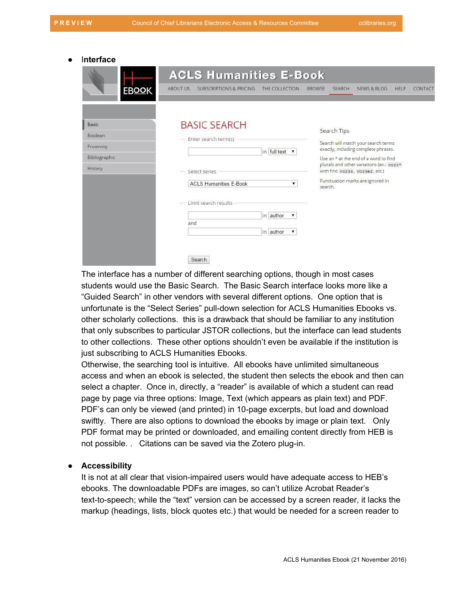#### ● I**nterface**

|                                                                  | <b>ACLS Humanities E-Book</b>                                                                          |                                                   |                                                                                                                                                                                                                                                       |         |  |
|------------------------------------------------------------------|--------------------------------------------------------------------------------------------------------|---------------------------------------------------|-------------------------------------------------------------------------------------------------------------------------------------------------------------------------------------------------------------------------------------------------------|---------|--|
| <b>EBOOK</b>                                                     | <b>ABOUT US</b><br><b>SUBSCRIPTIONS &amp; PRICING</b>                                                  | THE COLLECTION                                    | <b>BROWSE</b><br><b>SEARCH</b><br>NEWS & BLOG<br>HELP                                                                                                                                                                                                 | CONTACT |  |
| <b>Basic</b><br>Boolean<br>Proximity<br>Bibliographic<br>History | <b>BASIC SEARCH</b><br>Enter search term(s)<br>anno.<br>Select series<br><b>ACLS Humanities E-Book</b> | in full text v                                    | Search Tips<br>Search will match your search terms<br>exactly, including complete phrases.<br>Use an * at the end of a word to find<br>plurals and other variations (ex.: work*<br>with find works, worker, etc.)<br>Punctuation marks are ignored in |         |  |
|                                                                  | Limit search results<br>and<br>Search                                                                  | in author<br>▼<br>in author<br>$\pmb{\mathrm{v}}$ | search.                                                                                                                                                                                                                                               |         |  |

The interface has a number of different searching options, though in most cases students would use the Basic Search. The Basic Search interface looks more like a "Guided Search" in other vendors with several different options. One option that is unfortunate is the "Select Series" pull-down selection for ACLS Humanities Ebooks vs. other scholarly collections. this is a drawback that should be familiar to any institution that only subscribes to particular JSTOR collections, but the interface can lead students to other collections. These other options shouldn't even be available if the institution is just subscribing to ACLS Humanities Ebooks.

Otherwise, the searching tool is intuitive. All ebooks have unlimited simultaneous access and when an ebook is selected, the student then selects the ebook and then can select a chapter. Once in, directly, a "reader" is available of which a student can read page by page via three options: Image, Text (which appears as plain text) and PDF. PDF's can only be viewed (and printed) in 10-page excerpts, but load and download swiftly. There are also options to download the ebooks by image or plain text. Only PDF format may be printed or downloaded, and emailing content directly from HEB is not possible. . Citations can be saved via the Zotero plug-in.

#### ● **Accessibility**

It is not at all clear that vision-impaired users would have adequate access to HEB's ebooks. The downloadable PDFs are images, so can't utilize Acrobat Reader's text-to-speech; while the "text" version can be accessed by a screen reader, it lacks the markup (headings, lists, block quotes etc.) that would be needed for a screen reader to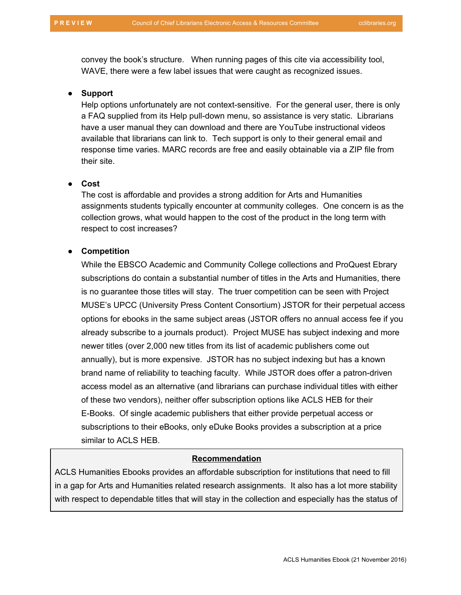convey the book's structure. When running pages of this cite via accessibility tool, WAVE, there were a few label issues that were caught as recognized issues.

#### ● **Support**

Help options unfortunately are not context-sensitive. For the general user, there is only a FAQ supplied from its Help pull-down menu, so assistance is very static. Librarians have a user manual they can download and there are YouTube instructional videos available that librarians can link to. Tech support is only to their general email and response time varies. MARC records are free and easily obtainable via a ZIP file from their site.

## ● **Cost**

The cost is affordable and provides a strong addition for Arts and Humanities assignments students typically encounter at community colleges. One concern is as the collection grows, what would happen to the cost of the product in the long term with respect to cost increases?

#### ● **Competition**

While the EBSCO Academic and Community College collections and ProQuest Ebrary subscriptions do contain a substantial number of titles in the Arts and Humanities, there is no guarantee those titles will stay. The truer competition can be seen with Project MUSE's UPCC (University Press Content Consortium) JSTOR for their perpetual access options for ebooks in the same subject areas (JSTOR offers no annual access fee if you already subscribe to a journals product). Project MUSE has subject indexing and more newer titles (over 2,000 new titles from its list of academic publishers come out annually), but is more expensive. JSTOR has no subject indexing but has a known brand name of reliability to teaching faculty. While JSTOR does offer a patron-driven access model as an alternative (and librarians can purchase individual titles with either of these two vendors), neither offer subscription options like ACLS HEB for their E-Books. Of single academic publishers that either provide perpetual access or subscriptions to their eBooks, only eDuke Books provides a subscription at a price similar to ACLS HEB.

## **Recommendation**

ACLS Humanities Ebooks provides an affordable subscription for institutions that need to fill in a gap for Arts and Humanities related research assignments. It also has a lot more stability with respect to dependable titles that will stay in the collection and especially has the status of